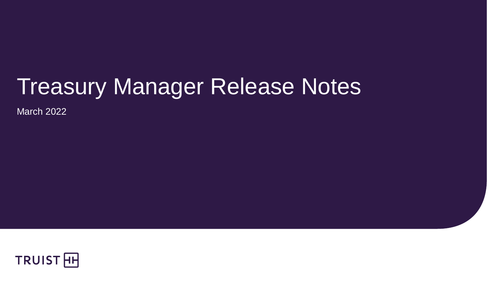# Treasury Manager Release Notes

March 2022